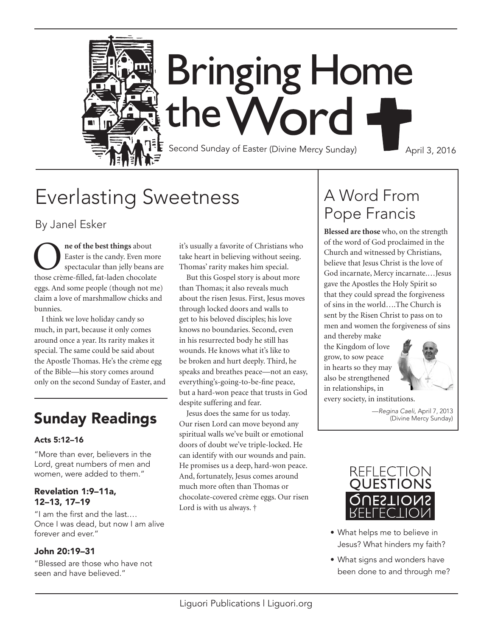

# Everlasting Sweetness

By Janel Esker

**O** ne of the best things about<br>Easter is the candy. Even move spectacular than jelly beans<br>those creme-filled fat-laden chocolat Easter is the candy. Even more spectacular than jelly beans are those crème-filled, fat-laden chocolate eggs. And some people (though not me) claim a love of marshmallow chicks and bunnies.

I think we love holiday candy so much, in part, because it only comes around once a year. Its rarity makes it special. The same could be said about the Apostle Thomas. He's the crème egg of the Bible—his story comes around only on the second Sunday of Easter, and

### Acts 5:12–16

"More than ever, believers in the Lord, great numbers of men and women, were added to them."

#### Revelation 1:9–11a, 12–13, 17–19

"I am the first and the last.… Once I was dead, but now I am alive forever and ever."

### John 20:19–31

"Blessed are those who have not seen and have believed."

it's usually a favorite of Christians who take heart in believing without seeing. Thomas' rarity makes him special.

But this Gospel story is about more than Thomas; it also reveals much about the risen Jesus. First, Jesus moves through locked doors and walls to get to his beloved disciples; his love knows no boundaries. Second, even in his resurrected body he still has wounds. He knows what it's like to be broken and hurt deeply. Third, he speaks and breathes peace—not an easy, everything's-going-to-be-fine peace, but a hard-won peace that trusts in God despite suffering and fear.

Jesus does the same for us today. Our risen Lord can move beyond any spiritual walls we've built or emotional doors of doubt we've triple-locked. He can identify with our wounds and pain. He promises us a deep, hard-won peace. And, fortunately, Jesus comes around much more often than Thomas or chocolate-covered crème eggs. Our risen Lord is with us always. † **Sunday Readings** Jesus does the same for us today. The approximate the Mercy Sunday (Divine Mercy Sunday)

## A Word From Pope Francis

**Blessed are those** who, on the strength of the word of God proclaimed in the Church and witnessed by Christians, believe that Jesus Christ is the love of God incarnate, Mercy incarnate.…Jesus gave the Apostles the Holy Spirit so that they could spread the forgiveness of sins in the world….The Church is sent by the Risen Christ to pass on to men and women the forgiveness of sins

and thereby make the Kingdom of love grow, to sow peace in hearts so they may also be strengthened in relationships, in



every society, in institutions.



- What helps me to believe in Jesus? What hinders my faith?
- What signs and wonders have been done to and through me?